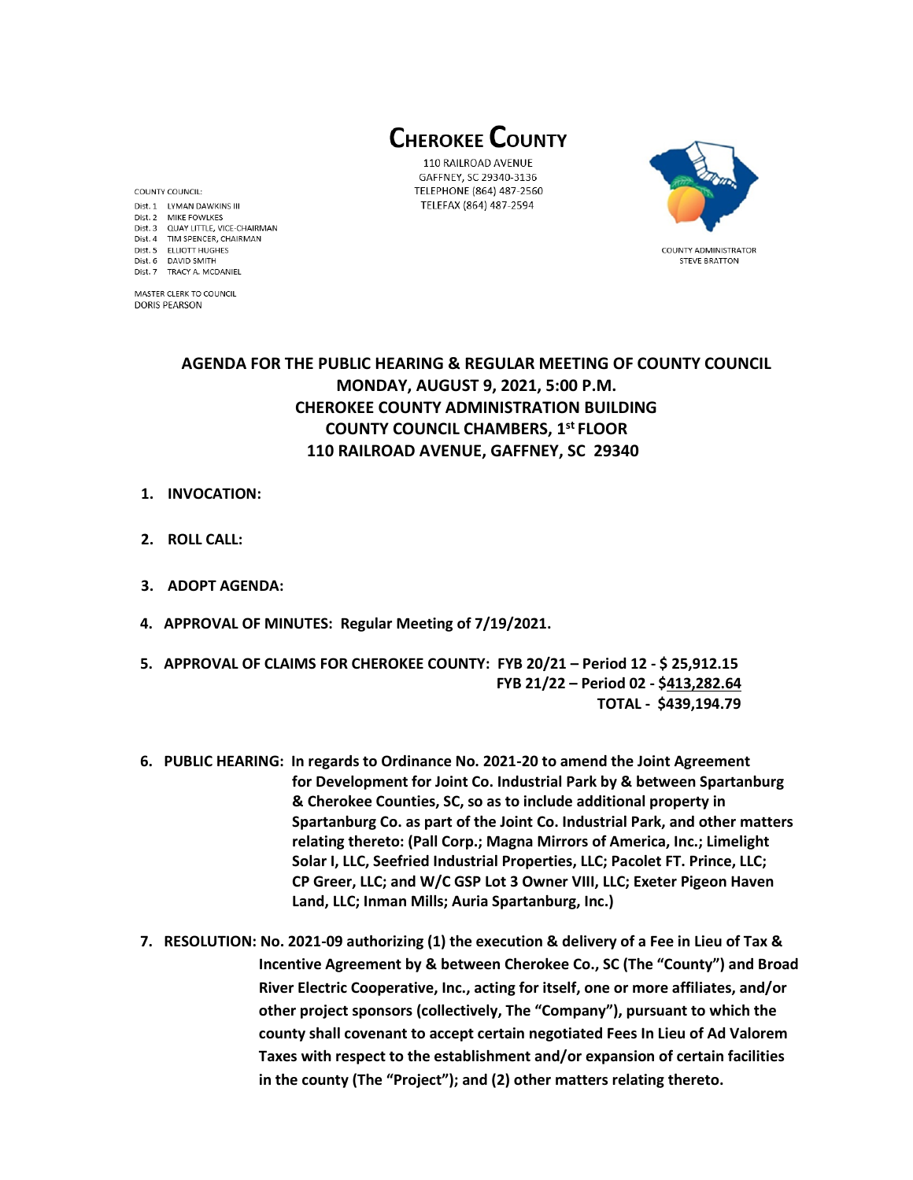**CHEROKEE COUNTY** 

110 RAILROAD AVENUE GAFFNEY, SC 29340-3136 TELEPHONE (864) 487-2560 TELEFAX (864) 487-2594



**COUNTY ADMINISTRATOR STEVE BRATTON** 

Dist. 1 LYMAN DAWKINS III Dist. 2 MIKE FOWLKES Dist. 3 QUAY LITTLE, VICE-CHAIRMAN Dist. 4 TIM SPENCER, CHAIRMAN Dist. 5 ELLIOTT HUGHES Dist. 6 DAVID SMITH Dist. 7 TRACY A. MCDANIEL

MASTER CLERK TO COUNCIL **DORIS PEARSON** 

COUNTY COUNCIL:

# **AGENDA FOR THE PUBLIC HEARING & REGULAR MEETING OF COUNTY COUNCIL MONDAY, AUGUST 9, 2021, 5:00 P.M. CHEROKEE COUNTY ADMINISTRATION BUILDING COUNTY COUNCIL CHAMBERS, 1 st FLOOR 110 RAILROAD AVENUE, GAFFNEY, SC 29340**

- **1. INVOCATION:**
- **2. ROLL CALL:**
- **3. ADOPT AGENDA:**
- **4. APPROVAL OF MINUTES: Regular Meeting of 7/19/2021.**
- **5. APPROVAL OF CLAIMS FOR CHEROKEE COUNTY: FYB 20/21 – Period 12 - \$ 25,912.15 FYB 21/22 – Period 02 - \$413,282.64 TOTAL - \$439,194.79**
- **6. PUBLIC HEARING: In regards to Ordinance No. 2021-20 to amend the Joint Agreement for Development for Joint Co. Industrial Park by & between Spartanburg & Cherokee Counties, SC, so as to include additional property in Spartanburg Co. as part of the Joint Co. Industrial Park, and other matters relating thereto: (Pall Corp.; Magna Mirrors of America, Inc.; Limelight Solar I, LLC, Seefried Industrial Properties, LLC; Pacolet FT. Prince, LLC; CP Greer, LLC; and W/C GSP Lot 3 Owner VIII, LLC; Exeter Pigeon Haven Land, LLC; Inman Mills; Auria Spartanburg, Inc.)**
- **7. RESOLUTION: No. 2021-09 authorizing (1) the execution & delivery of a Fee in Lieu of Tax & Incentive Agreement by & between Cherokee Co., SC (The "County") and Broad River Electric Cooperative, Inc., acting for itself, one or more affiliates, and/or other project sponsors (collectively, The "Company"), pursuant to which the county shall covenant to accept certain negotiated Fees In Lieu of Ad Valorem Taxes with respect to the establishment and/or expansion of certain facilities in the county (The "Project"); and (2) other matters relating thereto.**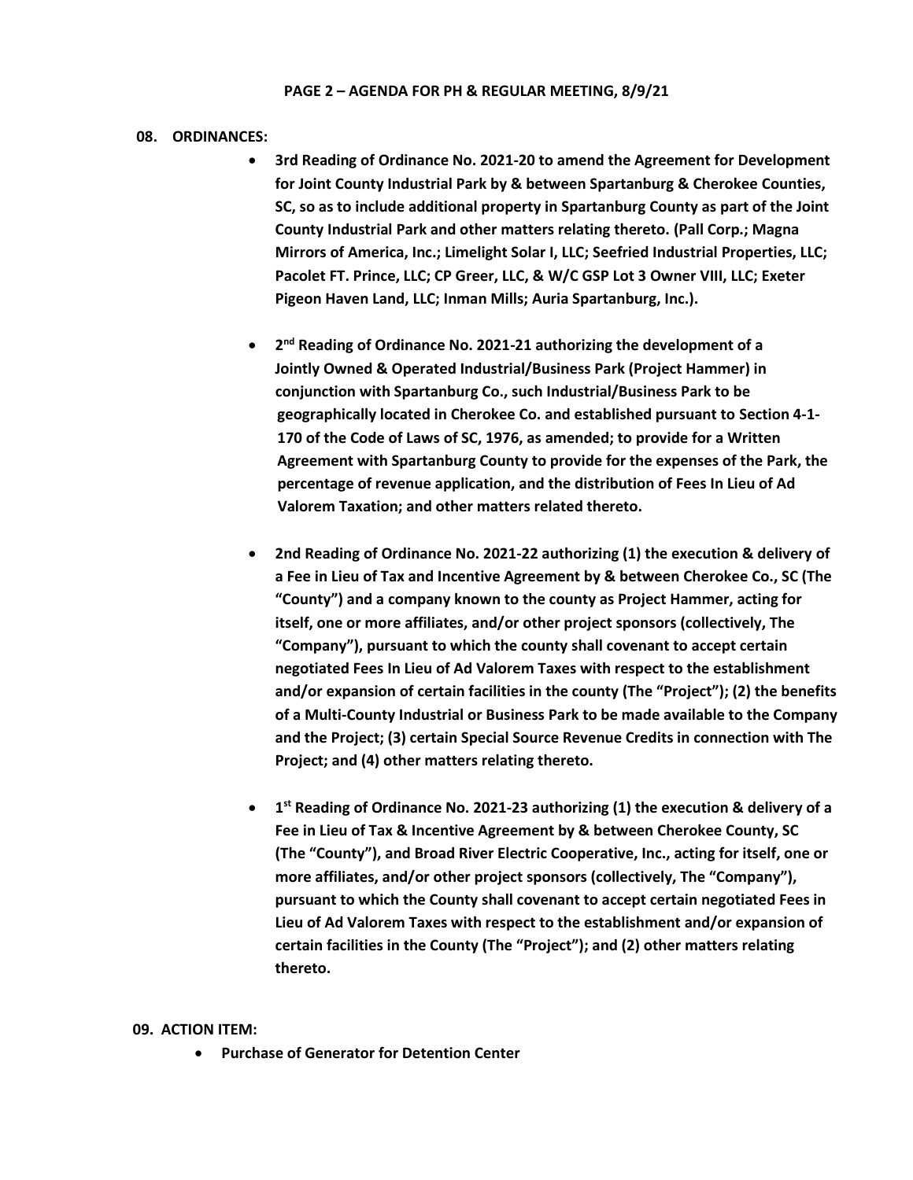#### **PAGE 2 – AGENDA FOR PH & REGULAR MEETING, 8/9/21**

### **08. ORDINANCES:**

- **3rd Reading of Ordinance No. 2021-20 to amend the Agreement for Development for Joint County Industrial Park by & between Spartanburg & Cherokee Counties, SC, so as to include additional property in Spartanburg County as part of the Joint County Industrial Park and other matters relating thereto. (Pall Corp.; Magna Mirrors of America, Inc.; Limelight Solar I, LLC; Seefried Industrial Properties, LLC; Pacolet FT. Prince, LLC; CP Greer, LLC, & W/C GSP Lot 3 Owner VIII, LLC; Exeter Pigeon Haven Land, LLC; Inman Mills; Auria Spartanburg, Inc.).**
- **2 nd Reading of Ordinance No. 2021-21 authorizing the development of a Jointly Owned & Operated Industrial/Business Park (Project Hammer) in conjunction with Spartanburg Co., such Industrial/Business Park to be geographically located in Cherokee Co. and established pursuant to Section 4-1- 170 of the Code of Laws of SC, 1976, as amended; to provide for a Written Agreement with Spartanburg County to provide for the expenses of the Park, the percentage of revenue application, and the distribution of Fees In Lieu of Ad Valorem Taxation; and other matters related thereto.**
- **2nd Reading of Ordinance No. 2021-22 authorizing (1) the execution & delivery of a Fee in Lieu of Tax and Incentive Agreement by & between Cherokee Co., SC (The "County") and a company known to the county as Project Hammer, acting for itself, one or more affiliates, and/or other project sponsors (collectively, The "Company"), pursuant to which the county shall covenant to accept certain negotiated Fees In Lieu of Ad Valorem Taxes with respect to the establishment and/or expansion of certain facilities in the county (The "Project"); (2) the benefits of a Multi-County Industrial or Business Park to be made available to the Company and the Project; (3) certain Special Source Revenue Credits in connection with The Project; and (4) other matters relating thereto.**
- **1 st Reading of Ordinance No. 2021-23 authorizing (1) the execution & delivery of a Fee in Lieu of Tax & Incentive Agreement by & between Cherokee County, SC (The "County"), and Broad River Electric Cooperative, Inc., acting for itself, one or more affiliates, and/or other project sponsors (collectively, The "Company"), pursuant to which the County shall covenant to accept certain negotiated Fees in Lieu of Ad Valorem Taxes with respect to the establishment and/or expansion of certain facilities in the County (The "Project"); and (2) other matters relating thereto.**

#### **09. ACTION ITEM:**

• **Purchase of Generator for Detention Center**